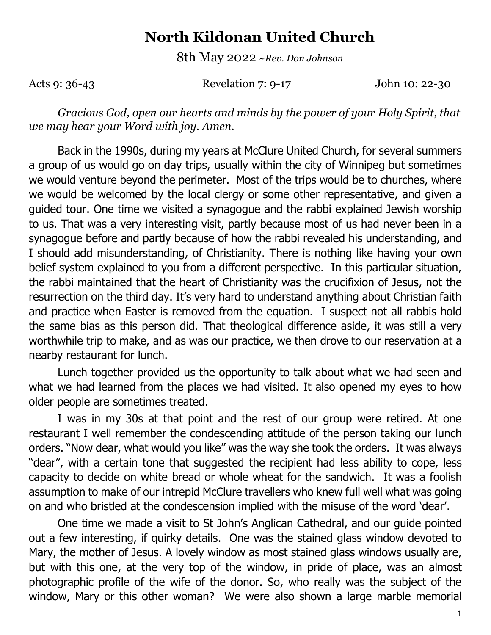## **North Kildonan United Church**

8th May 2022 *~Rev. Don Johnson*

Acts 9: 36-43 Revelation 7: 9-17 John 10: 22-30

*Gracious God, open our hearts and minds by the power of your Holy Spirit, that we may hear your Word with joy. Amen.*

Back in the 1990s, during my years at McClure United Church, for several summers a group of us would go on day trips, usually within the city of Winnipeg but sometimes we would venture beyond the perimeter. Most of the trips would be to churches, where we would be welcomed by the local clergy or some other representative, and given a guided tour. One time we visited a synagogue and the rabbi explained Jewish worship to us. That was a very interesting visit, partly because most of us had never been in a synagogue before and partly because of how the rabbi revealed his understanding, and I should add misunderstanding, of Christianity. There is nothing like having your own belief system explained to you from a different perspective. In this particular situation, the rabbi maintained that the heart of Christianity was the crucifixion of Jesus, not the resurrection on the third day. It's very hard to understand anything about Christian faith and practice when Easter is removed from the equation. I suspect not all rabbis hold the same bias as this person did. That theological difference aside, it was still a very worthwhile trip to make, and as was our practice, we then drove to our reservation at a nearby restaurant for lunch.

Lunch together provided us the opportunity to talk about what we had seen and what we had learned from the places we had visited. It also opened my eyes to how older people are sometimes treated.

I was in my 30s at that point and the rest of our group were retired. At one restaurant I well remember the condescending attitude of the person taking our lunch orders. "Now dear, what would you like" was the way she took the orders. It was always "dear", with a certain tone that suggested the recipient had less ability to cope, less capacity to decide on white bread or whole wheat for the sandwich. It was a foolish assumption to make of our intrepid McClure travellers who knew full well what was going on and who bristled at the condescension implied with the misuse of the word 'dear'.

One time we made a visit to St John's Anglican Cathedral, and our guide pointed out a few interesting, if quirky details. One was the stained glass window devoted to Mary, the mother of Jesus. A lovely window as most stained glass windows usually are, but with this one, at the very top of the window, in pride of place, was an almost photographic profile of the wife of the donor. So, who really was the subject of the window, Mary or this other woman? We were also shown a large marble memorial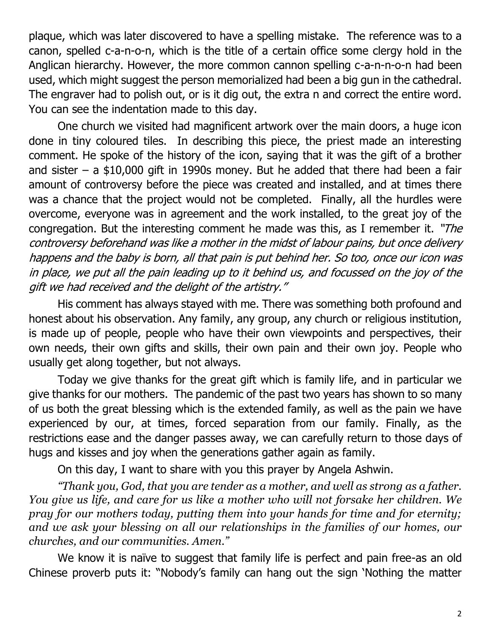plaque, which was later discovered to have a spelling mistake. The reference was to a canon, spelled c-a-n-o-n, which is the title of a certain office some clergy hold in the Anglican hierarchy. However, the more common cannon spelling c-a-n-n-o-n had been used, which might suggest the person memorialized had been a big gun in the cathedral. The engraver had to polish out, or is it dig out, the extra n and correct the entire word. You can see the indentation made to this day.

One church we visited had magnificent artwork over the main doors, a huge icon done in tiny coloured tiles. In describing this piece, the priest made an interesting comment. He spoke of the history of the icon, saying that it was the gift of a brother and sister – a  $$10,000$  gift in 1990s money. But he added that there had been a fair amount of controversy before the piece was created and installed, and at times there was a chance that the project would not be completed. Finally, all the hurdles were overcome, everyone was in agreement and the work installed, to the great joy of the congregation. But the interesting comment he made was this, as I remember it. "The controversy beforehand was like a mother in the midst of labour pains, but once delivery happens and the baby is born, all that pain is put behind her. So too, once our icon was in place, we put all the pain leading up to it behind us, and focussed on the joy of the gift we had received and the delight of the artistry."

His comment has always stayed with me. There was something both profound and honest about his observation. Any family, any group, any church or religious institution, is made up of people, people who have their own viewpoints and perspectives, their own needs, their own gifts and skills, their own pain and their own joy. People who usually get along together, but not always.

Today we give thanks for the great gift which is family life, and in particular we give thanks for our mothers. The pandemic of the past two years has shown to so many of us both the great blessing which is the extended family, as well as the pain we have experienced by our, at times, forced separation from our family. Finally, as the restrictions ease and the danger passes away, we can carefully return to those days of hugs and kisses and joy when the generations gather again as family.

On this day, I want to share with you this prayer by Angela Ashwin.

*"Thank you, God, that you are tender as a mother, and well as strong as a father. You give us life, and care for us like a mother who will not forsake her children. We pray for our mothers today, putting them into your hands for time and for eternity; and we ask your blessing on all our relationships in the families of our homes, our churches, and our communities. Amen."*

We know it is naïve to suggest that family life is perfect and pain free-as an old Chinese proverb puts it: "Nobody's family can hang out the sign 'Nothing the matter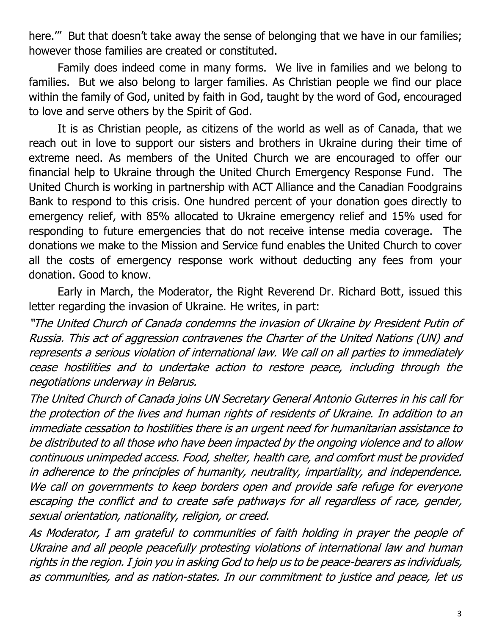here."" But that doesn't take away the sense of belonging that we have in our families; however those families are created or constituted.

Family does indeed come in many forms. We live in families and we belong to families. But we also belong to larger families. As Christian people we find our place within the family of God, united by faith in God, taught by the word of God, encouraged to love and serve others by the Spirit of God.

It is as Christian people, as citizens of the world as well as of Canada, that we reach out in love to support our sisters and brothers in Ukraine during their time of extreme need. As members of the United Church we are encouraged to offer our financial help to Ukraine through the United Church Emergency Response Fund. The United Church is working in partnership with ACT Alliance and the Canadian Foodgrains Bank to respond to this crisis. One hundred percent of your donation goes directly to emergency relief, with 85% allocated to Ukraine emergency relief and 15% used for responding to future emergencies that do not receive intense media coverage. The donations we make to the Mission and Service fund enables the United Church to cover all the costs of emergency response work without deducting any fees from your donation. Good to know.

Early in March, the Moderator, the Right Reverend Dr. Richard Bott, issued this letter regarding the invasion of Ukraine. He writes, in part:

"The United Church of Canada condemns the invasion of Ukraine by President Putin of Russia. This act of aggression contravenes the Charter of the United Nations (UN) and represents a serious violation of international law. We call on all parties to immediately cease hostilities and to undertake action to restore peace, including through the negotiations underway in Belarus.

The United Church of Canada joins UN Secretary General Antonio Guterres in his call for the protection of the lives and human rights of residents of Ukraine. In addition to an immediate cessation to hostilities there is an urgent need for humanitarian assistance to be distributed to all those who have been impacted by the ongoing violence and to allow continuous unimpeded access. Food, shelter, health care, and comfort must be provided in adherence to the principles of humanity, neutrality, impartiality, and independence. We call on governments to keep borders open and provide safe refuge for everyone escaping the conflict and to create safe pathways for all regardless of race, gender, sexual orientation, nationality, religion, or creed.

As Moderator, I am grateful to communities of faith holding in prayer the people of Ukraine and all people peacefully protesting violations of international law and human rights in the region. I join you in asking God to help us to be peace-bearers as individuals, as communities, and as nation-states. In our commitment to justice and peace, let us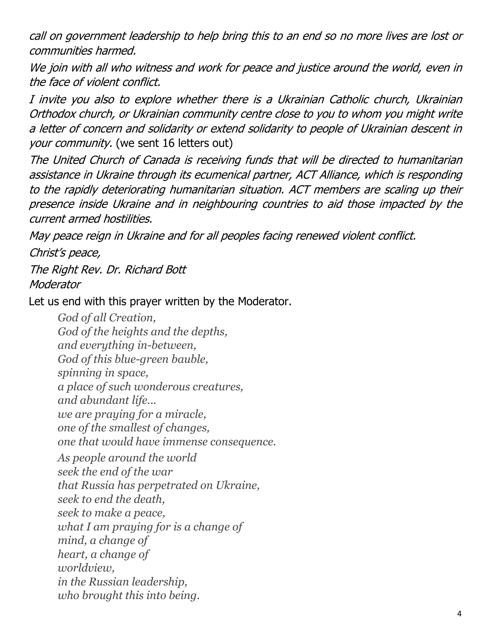call on government leadership to help bring this to an end so no more lives are lost or communities harmed.

We join with all who witness and work for peace and justice around the world, even in the face of violent conflict.

I invite you also to explore whether there is a Ukrainian Catholic church, Ukrainian Orthodox church, or Ukrainian community centre close to you to whom you might write a letter of concern and solidarity or extend solidarity to people of Ukrainian descent in your community. (we sent 16 letters out)

The United Church of Canada is receiving funds that will be directed to humanitarian assistance in Ukraine through its ecumenical partner, ACT Alliance, which is responding to the rapidly deteriorating humanitarian situation. ACT members are scaling up their presence inside Ukraine and in neighbouring countries to aid those impacted by the current armed hostilities.

May peace reign in Ukraine and for all peoples facing renewed violent conflict.

Christ's peace,

The Right Rev. Dr. Richard Bott **Moderator** 

Let us end with this prayer written by the Moderator.

*God of all Creation, God of the heights and the depths, and everything in-between, God of this blue-green bauble, spinning in space, a place of such wonderous creatures, and abundant life... we are praying for a miracle, one of the smallest of changes, one that would have immense consequence. As people around the world seek the end of the war that Russia has perpetrated on Ukraine, seek to end the death, seek to make a peace, what I am praying for is a change of mind, a change of heart, a change of worldview, in the Russian leadership, who brought this into being.*